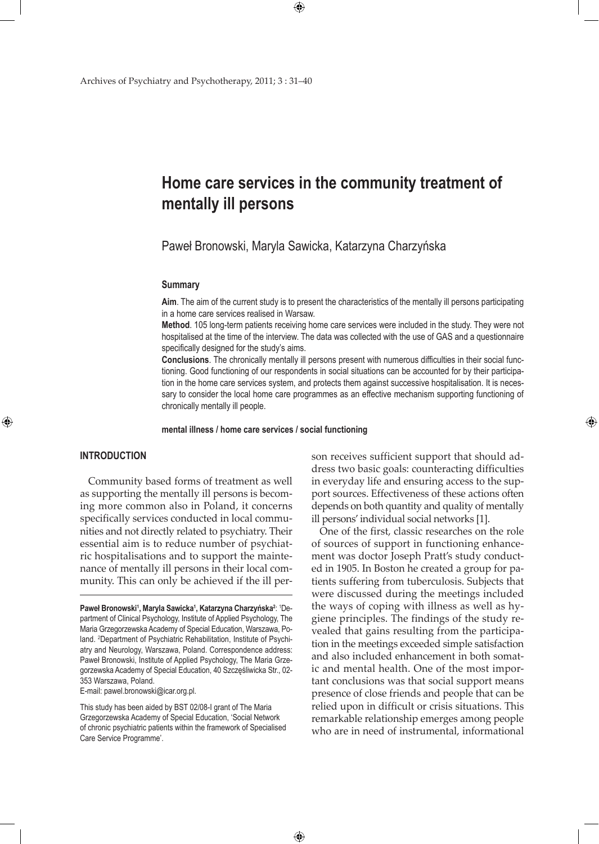# **Home care services in the community treatment of mentally ill persons**

Paweł Bronowski, Maryla Sawicka, Katarzyna Charzyńska

 $\bigoplus$ 

#### **Summary**

**Aim**. The aim of the current study is to present the characteristics of the mentally ill persons participating in a home care services realised in Warsaw.

**Method**. 105 long-term patients receiving home care services were included in the study. They were not hospitalised at the time of the interview. The data was collected with the use of GAS and a questionnaire specifically designed for the study's aims.

**Conclusions**. The chronically mentally ill persons present with numerous difficulties in their social functioning. Good functioning of our respondents in social situations can be accounted for by their participation in the home care services system, and protects them against successive hospitalisation. It is necessary to consider the local home care programmes as an effective mechanism supporting functioning of chronically mentally ill people.

#### **mental illness / home care services / social functioning**

 $\bigoplus$ 

## **INTRODUCTION**

⊕

Community based forms of treatment as well as supporting the mentally ill persons is becoming more common also in Poland, it concerns specifically services conducted in local communities and not directly related to psychiatry. Their essential aim is to reduce number of psychiatric hospitalisations and to support the maintenance of mentally ill persons in their local community. This can only be achieved if the ill per-

E-mail: pawel.bronowski@icar.org.pl.

This study has been aided by BST 02/08-I grant of The Maria Grzegorzewska Academy of Special Education, 'Social Network of chronic psychiatric patients within the framework of Specialised Care Service Programme'.

son receives sufficient support that should address two basic goals: counteracting difficulties in everyday life and ensuring access to the support sources. Effectiveness of these actions often depends on both quantity and quality of mentally ill persons' individual social networks [1].

⊕

One of the first, classic researches on the role of sources of support in functioning enhancement was doctor Joseph Pratt's study conducted in 1905. In Boston he created a group for patients suffering from tuberculosis. Subjects that were discussed during the meetings included the ways of coping with illness as well as hygiene principles. The findings of the study revealed that gains resulting from the participation in the meetings exceeded simple satisfaction and also included enhancement in both somatic and mental health. One of the most important conclusions was that social support means presence of close friends and people that can be relied upon in difficult or crisis situations. This remarkable relationship emerges among people who are in need of instrumental, informational

**Paweł Bronowski<sup>1</sup> , Maryla Sawicka<sup>1</sup> , Katarzyna Charzyńska<sup>2</sup>** : 1 Department of Clinical Psychology, Institute of Applied Psychology, The Maria Grzegorzewska Academy of Special Education, Warszawa, Poland. 2 Department of Psychiatric Rehabilitation, Institute of Psychiatry and Neurology, Warszawa, Poland. Correspondence address: Paweł Bronowski, Institute of Applied Psychology, The Maria Grzegorzewska Academy of Special Education, 40 Szczęśliwicka Str., 02- 353 Warszawa, Poland.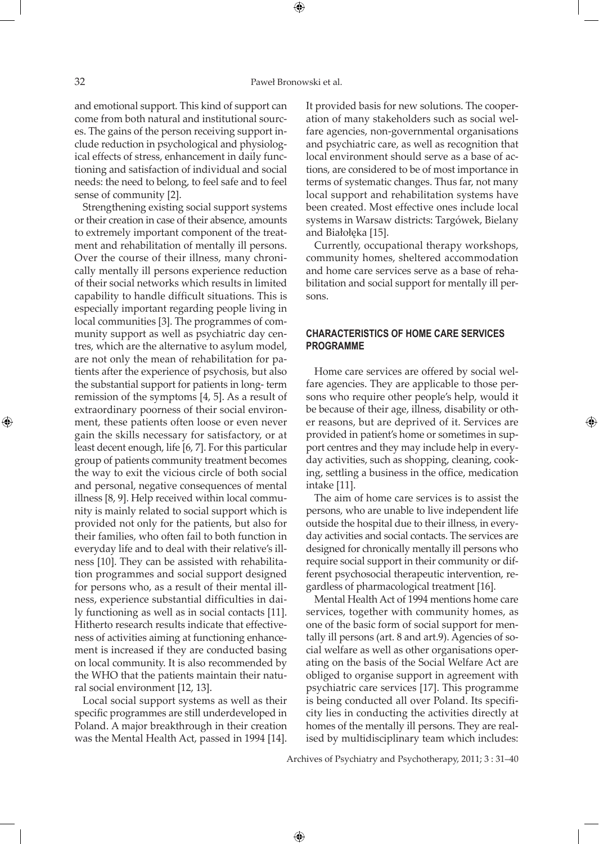## 32 Paweł Bronowski et al.

and emotional support. This kind of support can come from both natural and institutional sources. The gains of the person receiving support include reduction in psychological and physiological effects of stress, enhancement in daily functioning and satisfaction of individual and social needs: the need to belong, to feel safe and to feel sense of community [2].

Strengthening existing social support systems or their creation in case of their absence, amounts to extremely important component of the treatment and rehabilitation of mentally ill persons. Over the course of their illness, many chronically mentally ill persons experience reduction of their social networks which results in limited capability to handle difficult situations. This is especially important regarding people living in local communities [3]. The programmes of community support as well as psychiatric day centres, which are the alternative to asylum model, are not only the mean of rehabilitation for patients after the experience of psychosis, but also the substantial support for patients in long- term remission of the symptoms [4, 5]. As a result of extraordinary poorness of their social environment, these patients often loose or even never gain the skills necessary for satisfactory, or at least decent enough, life [6, 7]. For this particular group of patients community treatment becomes the way to exit the vicious circle of both social and personal, negative consequences of mental illness [8, 9]. Help received within local community is mainly related to social support which is provided not only for the patients, but also for their families, who often fail to both function in everyday life and to deal with their relative's illness [10]. They can be assisted with rehabilitation programmes and social support designed for persons who, as a result of their mental illness, experience substantial difficulties in daily functioning as well as in social contacts [11]. Hitherto research results indicate that effectiveness of activities aiming at functioning enhancement is increased if they are conducted basing on local community. It is also recommended by the WHO that the patients maintain their natural social environment [12, 13].

Local social support systems as well as their specific programmes are still underdeveloped in Poland. A major breakthrough in their creation was the Mental Health Act, passed in 1994 [14].

It provided basis for new solutions. The cooperation of many stakeholders such as social welfare agencies, non-governmental organisations and psychiatric care, as well as recognition that local environment should serve as a base of actions, are considered to be of most importance in terms of systematic changes. Thus far, not many local support and rehabilitation systems have been created. Most effective ones include local systems in Warsaw districts: Targówek, Bielany and Białołęka [15].

Currently, occupational therapy workshops, community homes, sheltered accommodation and home care services serve as a base of rehabilitation and social support for mentally ill persons.

## **CHARACTERISTICS OF HOME CARE SERVICES PROGRAMME**

Home care services are offered by social welfare agencies. They are applicable to those persons who require other people's help, would it be because of their age, illness, disability or other reasons, but are deprived of it. Services are provided in patient's home or sometimes in support centres and they may include help in everyday activities, such as shopping, cleaning, cooking, settling a business in the office, medication intake [11].

The aim of home care services is to assist the persons, who are unable to live independent life outside the hospital due to their illness, in everyday activities and social contacts. The services are designed for chronically mentally ill persons who require social support in their community or different psychosocial therapeutic intervention, regardless of pharmacological treatment [16].

Mental Health Act of 1994 mentions home care services, together with community homes, as one of the basic form of social support for mentally ill persons (art. 8 and art.9). Agencies of social welfare as well as other organisations operating on the basis of the Social Welfare Act are obliged to organise support in agreement with psychiatric care services [17]. This programme is being conducted all over Poland. Its specificity lies in conducting the activities directly at homes of the mentally ill persons. They are realised by multidisciplinary team which includes:

Archives of Psychiatry and Psychotherapy, 2011; 3 : 31–40

 $\bigoplus$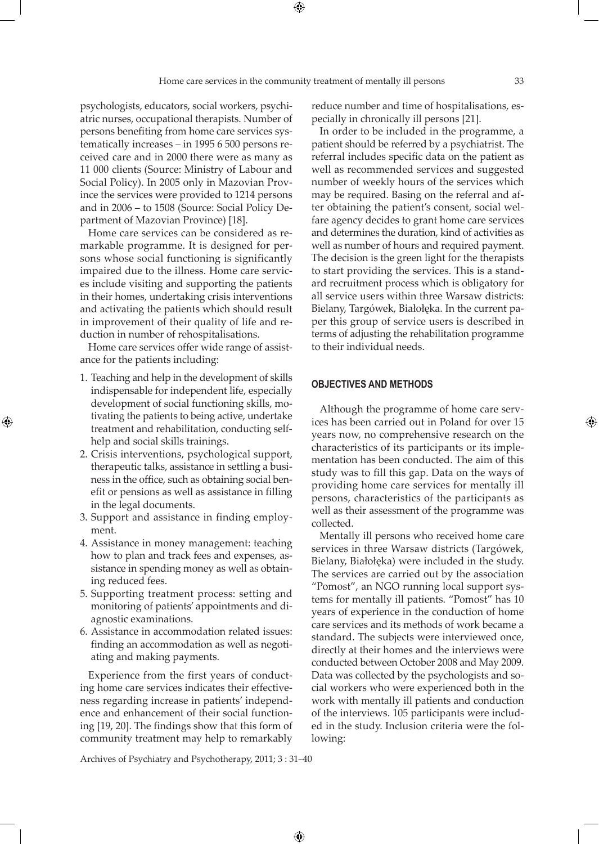psychologists, educators, social workers, psychiatric nurses, occupational therapists. Number of persons benefiting from home care services systematically increases – in 1995 6 500 persons received care and in 2000 there were as many as 11 000 clients (Source: Ministry of Labour and Social Policy). In 2005 only in Mazovian Province the services were provided to 1214 persons and in 2006 – to 1508 (Source: Social Policy Department of Mazovian Province) [18].

Home care services can be considered as remarkable programme. It is designed for persons whose social functioning is significantly impaired due to the illness. Home care services include visiting and supporting the patients in their homes, undertaking crisis interventions and activating the patients which should result in improvement of their quality of life and reduction in number of rehospitalisations.

Home care services offer wide range of assistance for the patients including:

1. Teaching and help in the development of skills indispensable for independent life, especially development of social functioning skills, motivating the patients to being active, undertake treatment and rehabilitation, conducting selfhelp and social skills trainings.

⊕

- 2. Crisis interventions, psychological support, therapeutic talks, assistance in settling a business in the office, such as obtaining social benefit or pensions as well as assistance in filling in the legal documents.
- 3. Support and assistance in finding employment.
- 4. Assistance in money management: teaching how to plan and track fees and expenses, assistance in spending money as well as obtaining reduced fees.
- 5. Supporting treatment process: setting and monitoring of patients' appointments and diagnostic examinations.
- 6. Assistance in accommodation related issues: finding an accommodation as well as negotiating and making payments.

Experience from the first years of conducting home care services indicates their effectiveness regarding increase in patients' independence and enhancement of their social functioning [19, 20]. The findings show that this form of community treatment may help to remarkably

reduce number and time of hospitalisations, especially in chronically ill persons [21].

In order to be included in the programme, a patient should be referred by a psychiatrist. The referral includes specific data on the patient as well as recommended services and suggested number of weekly hours of the services which may be required. Basing on the referral and after obtaining the patient's consent, social welfare agency decides to grant home care services and determines the duration, kind of activities as well as number of hours and required payment. The decision is the green light for the therapists to start providing the services. This is a standard recruitment process which is obligatory for all service users within three Warsaw districts: Bielany, Targówek, Białołęka. In the current paper this group of service users is described in terms of adjusting the rehabilitation programme to their individual needs.

# **OBJECTIVES AND METHODS**

Although the programme of home care services has been carried out in Poland for over 15 years now, no comprehensive research on the characteristics of its participants or its implementation has been conducted. The aim of this study was to fill this gap. Data on the ways of providing home care services for mentally ill persons, characteristics of the participants as well as their assessment of the programme was collected.

Mentally ill persons who received home care services in three Warsaw districts (Targówek, Bielany, Białołęka) were included in the study. The services are carried out by the association "Pomost", an NGO running local support systems for mentally ill patients. "Pomost" has 10 years of experience in the conduction of home care services and its methods of work became a standard. The subjects were interviewed once, directly at their homes and the interviews were conducted between October 2008 and May 2009. Data was collected by the psychologists and social workers who were experienced both in the work with mentally ill patients and conduction of the interviews. 105 participants were included in the study. Inclusion criteria were the following:

Archives of Psychiatry and Psychotherapy, 2011; 3 : 31–40

 $\bigoplus$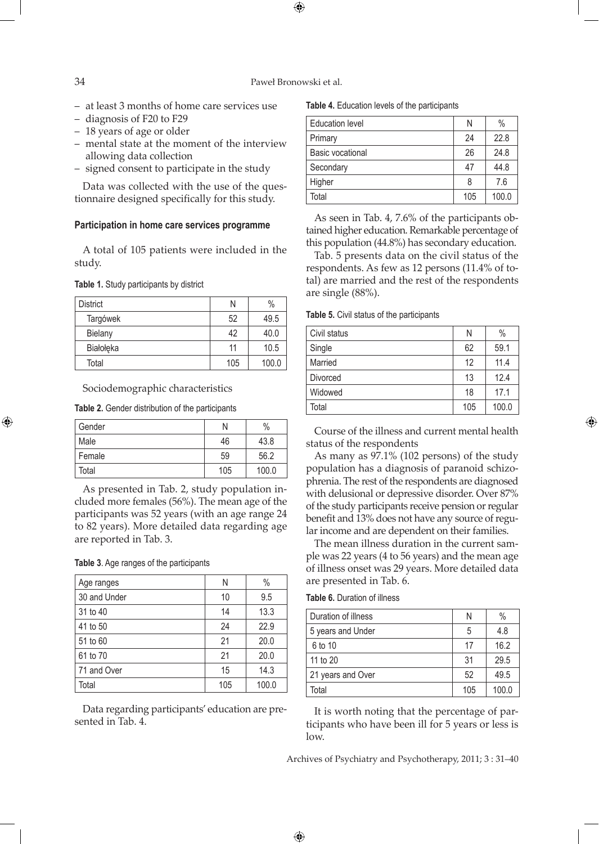#### 34 Paweł Bronowski et al.

 $\bigoplus$ 

- at least 3 months of home care services use
- diagnosis of F20 to F29
- 18 years of age or older
- mental state at the moment of the interview allowing data collection
- signed consent to participate in the study

Data was collected with the use of the questionnaire designed specifically for this study.

#### **Participation in home care services programme**

A total of 105 patients were included in the study.

## **Table 1.** Study participants by district

| <b>District</b> | N   | $\%$  |
|-----------------|-----|-------|
| Targówek        | 52  | 49.5  |
| <b>Bielany</b>  | 42  | 40.0  |
| Białołęka       | 11  | 10.5  |
| Total           | 105 | 100.0 |

## Sociodemographic characteristics

**Table 2.** Gender distribution of the participants

| Gender |     | $\%$  |
|--------|-----|-------|
| Male   | 46  | 43.8  |
| Female | 59  | 56.2  |
| Total  | 105 | 100.0 |

As presented in Tab. 2, study population included more females (56%). The mean age of the participants was 52 years (with an age range 24 to 82 years). More detailed data regarding age are reported in Tab. 3.

#### **Table 3**. Age ranges of the participants

| Age ranges   | Ν   | $\%$  |
|--------------|-----|-------|
| 30 and Under | 10  | 9.5   |
| 31 to 40     | 14  | 13.3  |
| 41 to 50     | 24  | 22.9  |
| 51 to 60     | 21  | 20.0  |
| 61 to 70     | 21  | 20.0  |
| 71 and Over  | 15  | 14.3  |
| Total        | 105 | 100.0 |

Data regarding participants' education are presented in Tab. 4.

**Table 4.** Education levels of the participants

| <b>Education level</b> | N   | $\%$  |
|------------------------|-----|-------|
| Primary                | 24  | 22.8  |
| Basic vocational       | 26  | 24.8  |
| Secondary              | 47  | 44.8  |
| Higher                 | 8   | 7.6   |
| Total                  | 105 | 100.0 |

As seen in Tab. 4, 7.6% of the participants obtained higher education. Remarkable percentage of this population (44.8%) has secondary education.

Tab. 5 presents data on the civil status of the respondents. As few as 12 persons (11.4% of total) are married and the rest of the respondents are single (88%).

#### **Table 5.** Civil status of the participants

| Civil status | N   | $\%$  |
|--------------|-----|-------|
| Single       | 62  | 59.1  |
| Married      | 12  | 11.4  |
| Divorced     | 13  | 12.4  |
| Widowed      | 18  | 17.1  |
| Total        | 105 | 100.0 |

Course of the illness and current mental health status of the respondents

⊕

As many as 97.1% (102 persons) of the study population has a diagnosis of paranoid schizophrenia. The rest of the respondents are diagnosed with delusional or depressive disorder. Over 87% of the study participants receive pension or regular benefit and 13% does not have any source of regular income and are dependent on their families.

The mean illness duration in the current sample was 22 years (4 to 56 years) and the mean age of illness onset was 29 years. More detailed data are presented in Tab. 6.

| <b>Table 6. Duration of illness</b> |  |
|-------------------------------------|--|
|-------------------------------------|--|

 $\bigoplus$ 

| Duration of illness | N   | $\%$  |
|---------------------|-----|-------|
| 5 years and Under   | 5   | 4.8   |
| 6 to 10             | 17  | 16.2  |
| 11 to 20            | 31  | 29.5  |
| 21 years and Over   | 52  | 49.5  |
| Total               | 105 | 100.0 |

It is worth noting that the percentage of participants who have been ill for 5 years or less is low.

Archives of Psychiatry and Psychotherapy, 2011; 3 : 31–40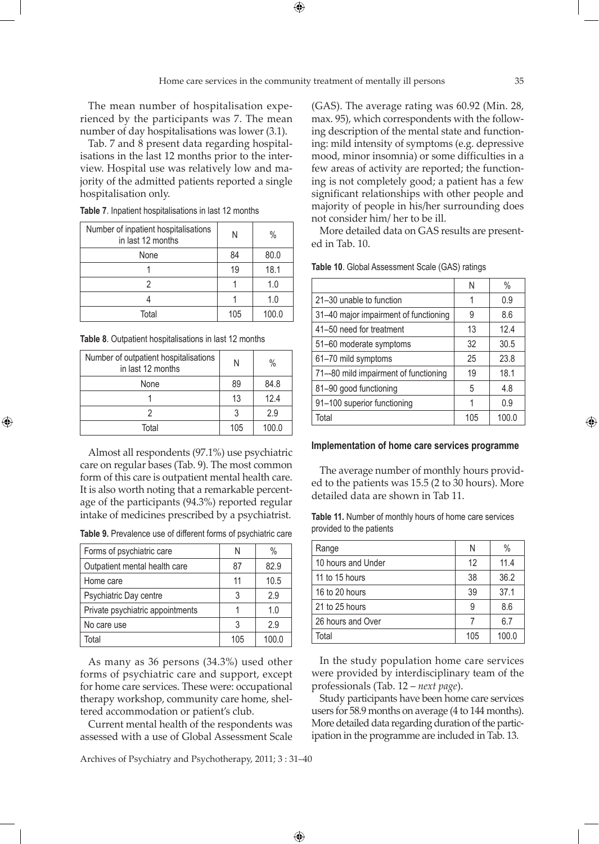The mean number of hospitalisation experienced by the participants was 7. The mean number of day hospitalisations was lower (3.1).

Tab. 7 and 8 present data regarding hospitalisations in the last 12 months prior to the interview. Hospital use was relatively low and majority of the admitted patients reported a single hospitalisation only.

**Table 7**. Inpatient hospitalisations in last 12 months

| Number of inpatient hospitalisations<br>in last 12 months | N   | $\%$  |
|-----------------------------------------------------------|-----|-------|
| None                                                      | 84  | 80.0  |
|                                                           | 19  | 18.1  |
|                                                           |     | 1.0   |
|                                                           |     | 1.0   |
| Total                                                     | 105 | 100.0 |

**Table 8**. Outpatient hospitalisations in last 12 months

⊕

| Number of outpatient hospitalisations<br>in last 12 months | N   | $\%$  |
|------------------------------------------------------------|-----|-------|
| None                                                       | 89  | 84.8  |
|                                                            | 13  | 12.4  |
|                                                            |     | 2.9   |
| Total                                                      | 105 | 100.0 |

Almost all respondents (97.1%) use psychiatric care on regular bases (Tab. 9). The most common form of this care is outpatient mental health care. It is also worth noting that a remarkable percentage of the participants (94.3%) reported regular intake of medicines prescribed by a psychiatrist.

**Table 9.** Prevalence use of different forms of psychiatric care

| Forms of psychiatric care        | N   | $\%$  |
|----------------------------------|-----|-------|
| Outpatient mental health care    | 87  | 82.9  |
| Home care                        | 11  | 10.5  |
| Psychiatric Day centre           | 3   | 2.9   |
| Private psychiatric appointments |     | 1.0   |
| No care use                      | 3   | 2.9   |
| Total                            | 105 | 100.0 |

As many as 36 persons (34.3%) used other forms of psychiatric care and support, except for home care services. These were: occupational therapy workshop, community care home, sheltered accommodation or patient's club.

Current mental health of the respondents was assessed with a use of Global Assessment Scale

Archives of Psychiatry and Psychotherapy, 2011; 3 : 31–40

 $\bigoplus$ 

(GAS). The average rating was 60.92 (Min. 28, max. 95), which correspondents with the following description of the mental state and functioning: mild intensity of symptoms (e.g. depressive mood, minor insomnia) or some difficulties in a few areas of activity are reported; the functioning is not completely good; a patient has a few significant relationships with other people and majority of people in his/her surrounding does not consider him/ her to be ill.

More detailed data on GAS results are presented in Tab. 10.

| Ν   | $\%$  |
|-----|-------|
| 1   | 0.9   |
| 9   | 8.6   |
| 13  | 12.4  |
| 32  | 30.5  |
| 25  | 23.8  |
| 19  | 18.1  |
| 5   | 4.8   |
| 1   | 0.9   |
| 105 | 100.0 |
|     |       |

**Table 10**. Global Assessment Scale (GAS) ratings

## **Implementation of home care services programme**

The average number of monthly hours provided to the patients was 15.5 (2 to 30 hours). More detailed data are shown in Tab 11.

**Table 11.** Number of monthly hours of home care services provided to the patients

| Range              | N   | $\%$  |
|--------------------|-----|-------|
| 10 hours and Under | 12  | 11.4  |
| 11 to 15 hours     | 38  | 36.2  |
| 16 to 20 hours     | 39  | 37.1  |
| 21 to 25 hours     | 9   | 8.6   |
| 26 hours and Over  |     | 6.7   |
| Total              | 105 | 100.0 |

In the study population home care services were provided by interdisciplinary team of the professionals (Tab. 12 – *next page*).

Study participants have been home care services users for 58.9 months on average (4 to 144 months). More detailed data regarding duration of the participation in the programme are included in Tab. 13.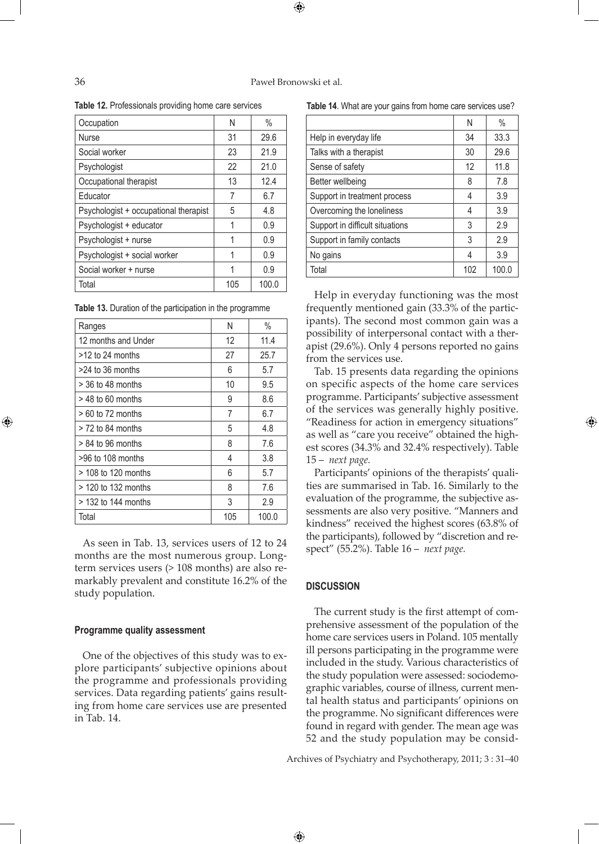Occupation N N % Nurse 31 29.6 Social worker 23 21.9 Psychologist 22 21.0 Occupational therapist 13 13 12.4 Educator 1 7 6.7 Psychologist + occupational therapist  $\begin{vmatrix} 5 & 4.8 \end{vmatrix}$ Psychologist + educator | 1 | 0.9 Psychologist + nurse  $\begin{array}{|c|c|c|c|c|c|c|c|c|} \hline \end{array}$  1  $\begin{array}{|c|c|c|c|c|c|c|c|} \hline \end{array}$  0.9 Psychologist + social worker  $\begin{array}{|c|c|c|c|c|c|} \hline \end{array}$  1 0.9

**Table 12.** Professionals providing home care services

| Table 13. Duration of the participation in the programme |  |  |
|----------------------------------------------------------|--|--|
|----------------------------------------------------------|--|--|

Social worker + nurse  $\begin{array}{|c|c|c|c|c|c|c|c|c|} \hline \end{array}$  1  $\begin{array}{|c|c|c|c|c|c|c|c|c|} \hline \end{array}$  0.9 Total 105 100.0

| Ranges                | Ν   | $\%$  |
|-----------------------|-----|-------|
| 12 months and Under   | 12  | 11.4  |
| $>12$ to 24 months    | 27  | 25.7  |
| >24 to 36 months      | 6   | 5.7   |
| > 36 to 48 months     | 10  | 9.5   |
| $>$ 48 to 60 months   | 9   | 8.6   |
| $>60$ to 72 months    | 7   | 6.7   |
| $>$ 72 to 84 months   | 5   | 4.8   |
| $> 84$ to 96 months   | 8   | 7.6   |
| $>96$ to 108 months   | 4   | 3.8   |
| > 108 to 120 months   | 6   | 5.7   |
| $>$ 120 to 132 months | 8   | 7.6   |
| > 132 to 144 months   | 3   | 2.9   |
| Total                 | 105 | 100.0 |

As seen in Tab. 13, services users of 12 to 24 months are the most numerous group. Longterm services users (> 108 months) are also remarkably prevalent and constitute 16.2% of the study population.

### **Programme quality assessment**

One of the objectives of this study was to explore participants' subjective opinions about the programme and professionals providing services. Data regarding patients' gains resulting from home care services use are presented in Tab. 14.

**Table 14**. What are your gains from home care services use?

|                                 | N   | $\%$  |
|---------------------------------|-----|-------|
| Help in everyday life           | 34  | 33.3  |
| Talks with a therapist          | 30  | 29.6  |
| Sense of safety                 | 12  | 11.8  |
| Better wellbeing                | 8   | 7.8   |
| Support in treatment process    | 4   | 3.9   |
| Overcoming the loneliness       | 4   | 3.9   |
| Support in difficult situations | 3   | 2.9   |
| Support in family contacts      | 3   | 2.9   |
| No gains                        | 4   | 3.9   |
| Total                           | 102 | 100.0 |

Help in everyday functioning was the most frequently mentioned gain (33.3% of the participants). The second most common gain was a possibility of interpersonal contact with a therapist (29.6%). Only 4 persons reported no gains from the services use.

Tab. 15 presents data regarding the opinions on specific aspects of the home care services programme. Participants' subjective assessment of the services was generally highly positive. "Readiness for action in emergency situations" as well as "care you receive" obtained the highest scores (34.3% and 32.4% respectively). Table 15 – *next page.*

Participants' opinions of the therapists' qualities are summarised in Tab. 16. Similarly to the evaluation of the programme, the subjective assessments are also very positive. "Manners and kindness" received the highest scores (63.8% of the participants), followed by "discretion and respect" (55.2%). Table 16 – *next page.*

## **DISCUSSION**

 $\bigoplus$ 

The current study is the first attempt of comprehensive assessment of the population of the home care services users in Poland. 105 mentally ill persons participating in the programme were included in the study. Various characteristics of the study population were assessed: sociodemographic variables, course of illness, current mental health status and participants' opinions on the programme. No significant differences were found in regard with gender. The mean age was 52 and the study population may be consid-

Archives of Psychiatry and Psychotherapy, 2011; 3 : 31–40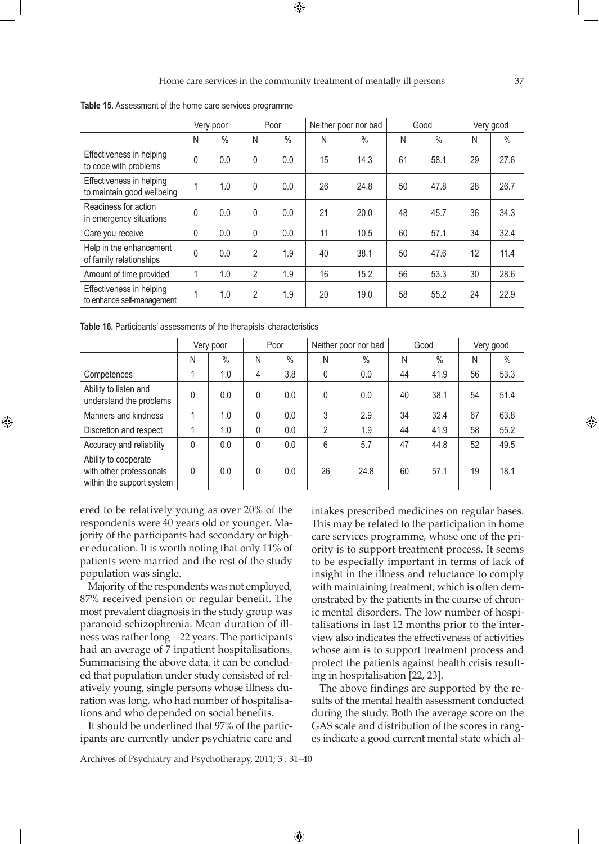**Table 15**. Assessment of the home care services programme

|                                                        | Very poor |               | Poor           |               | Neither poor nor bad |      | Good |               | Very good |               |
|--------------------------------------------------------|-----------|---------------|----------------|---------------|----------------------|------|------|---------------|-----------|---------------|
|                                                        | N         | $\frac{0}{0}$ | N              | $\frac{0}{0}$ | N                    | $\%$ | N    | $\frac{0}{0}$ | N         | $\frac{0}{0}$ |
| Effectiveness in helping<br>to cope with problems      | 0         | 0.0           | $\mathbf{0}$   | 0.0           | 15                   | 14.3 | 61   | 58.1          | 29        | 27.6          |
| Effectiveness in helping<br>to maintain good wellbeing | 1         | 1.0           | 0              | 0.0           | 26                   | 24.8 | 50   | 47.8          | 28        | 26.7          |
| Readiness for action<br>in emergency situations        | $\Omega$  | 0.0           | $\mathbf{0}$   | 0.0           | 21                   | 20.0 | 48   | 45.7          | 36        | 34.3          |
| Care you receive                                       | 0         | 0.0           | $\mathbf{0}$   | 0.0           | 11                   | 10.5 | 60   | 57.1          | 34        | 32.4          |
| Help in the enhancement<br>of family relationships     | 0         | 0.0           | $\overline{2}$ | 1.9           | 40                   | 38.1 | 50   | 47.6          | 12        | 11.4          |
| Amount of time provided                                |           | 1.0           | $\overline{2}$ | 1.9           | 16                   | 15.2 | 56   | 53.3          | 30        | 28.6          |
| Effectiveness in helping<br>to enhance self-management | 1         | 1.0           | $\mathfrak{p}$ | 1.9           | 20                   | 19.0 | 58   | 55.2          | 24        | 22.9          |

**Table 16.** Participants' assessments of the therapists' characteristics

|                                                                               | Very poor |      | Poor |               | Neither poor nor bad |      | Good |      | Very good |      |
|-------------------------------------------------------------------------------|-----------|------|------|---------------|----------------------|------|------|------|-----------|------|
|                                                                               | Ν         | $\%$ | Ν    | $\frac{0}{0}$ | N                    | $\%$ | N    | $\%$ | N         | $\%$ |
| Competences                                                                   |           | 1.0  | 4    | 3.8           | $\mathbf{0}$         | 0.0  | 44   | 41.9 | 56        | 53.3 |
| Ability to listen and<br>understand the problems                              | 0         | 0.0  | 0    | 0.0           | $\mathbf{0}$         | 0.0  | 40   | 38.1 | 54        | 51.4 |
| Manners and kindness                                                          |           | 1.0  | 0    | 0.0           | 3                    | 2.9  | 34   | 32.4 | 67        | 63.8 |
| Discretion and respect                                                        |           | 1.0  | 0    | 0.0           | 2                    | 1.9  | 44   | 41.9 | 58        | 55.2 |
| Accuracy and reliability                                                      | 0         | 0.0  | 0    | 0.0           | 6                    | 5.7  | 47   | 44.8 | 52        | 49.5 |
| Ability to cooperate<br>with other professionals<br>within the support system | 0         | 0.0  | 0    | 0.0           | 26                   | 24.8 | 60   | 57.1 | 19        | 18.1 |

 $\bigoplus$ 

ered to be relatively young as over 20% of the respondents were 40 years old or younger. Majority of the participants had secondary or higher education. It is worth noting that only 11% of patients were married and the rest of the study population was single.

⊕

Majority of the respondents was not employed, 87% received pension or regular benefit. The most prevalent diagnosis in the study group was paranoid schizophrenia. Mean duration of illness was rather long – 22 years. The participants had an average of 7 inpatient hospitalisations. Summarising the above data, it can be concluded that population under study consisted of relatively young, single persons whose illness duration was long, who had number of hospitalisations and who depended on social benefits.

It should be underlined that 97% of the participants are currently under psychiatric care and intakes prescribed medicines on regular bases. This may be related to the participation in home care services programme, whose one of the priority is to support treatment process. It seems to be especially important in terms of lack of insight in the illness and reluctance to comply with maintaining treatment, which is often demonstrated by the patients in the course of chronic mental disorders. The low number of hospitalisations in last 12 months prior to the interview also indicates the effectiveness of activities whose aim is to support treatment process and protect the patients against health crisis resulting in hospitalisation [22, 23].

The above findings are supported by the results of the mental health assessment conducted during the study. Both the average score on the GAS scale and distribution of the scores in ranges indicate a good current mental state which al-

Archives of Psychiatry and Psychotherapy, 2011; 3 : 31–40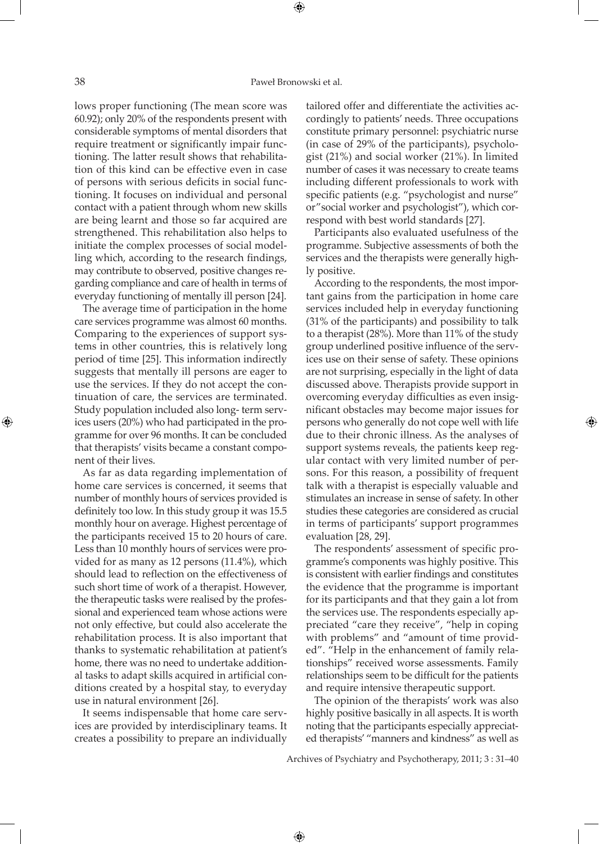lows proper functioning (The mean score was 60.92); only 20% of the respondents present with considerable symptoms of mental disorders that require treatment or significantly impair functioning. The latter result shows that rehabilitation of this kind can be effective even in case of persons with serious deficits in social functioning. It focuses on individual and personal contact with a patient through whom new skills are being learnt and those so far acquired are strengthened. This rehabilitation also helps to initiate the complex processes of social modelling which, according to the research findings, may contribute to observed, positive changes regarding compliance and care of health in terms of everyday functioning of mentally ill person [24].

The average time of participation in the home care services programme was almost 60 months. Comparing to the experiences of support systems in other countries, this is relatively long period of time [25]. This information indirectly suggests that mentally ill persons are eager to use the services. If they do not accept the continuation of care, the services are terminated. Study population included also long- term services users (20%) who had participated in the programme for over 96 months. It can be concluded that therapists' visits became a constant component of their lives.

As far as data regarding implementation of home care services is concerned, it seems that number of monthly hours of services provided is definitely too low. In this study group it was 15.5 monthly hour on average. Highest percentage of the participants received 15 to 20 hours of care. Less than 10 monthly hours of services were provided for as many as 12 persons (11.4%), which should lead to reflection on the effectiveness of such short time of work of a therapist. However, the therapeutic tasks were realised by the professional and experienced team whose actions were not only effective, but could also accelerate the rehabilitation process. It is also important that thanks to systematic rehabilitation at patient's home, there was no need to undertake additional tasks to adapt skills acquired in artificial conditions created by a hospital stay, to everyday use in natural environment [26].

It seems indispensable that home care services are provided by interdisciplinary teams. It creates a possibility to prepare an individually

tailored offer and differentiate the activities accordingly to patients' needs. Three occupations constitute primary personnel: psychiatric nurse (in case of 29% of the participants), psychologist (21%) and social worker (21%). In limited number of cases it was necessary to create teams including different professionals to work with specific patients (e.g. "psychologist and nurse" or"social worker and psychologist"), which correspond with best world standards [27].

Participants also evaluated usefulness of the programme. Subjective assessments of both the services and the therapists were generally highly positive.

According to the respondents, the most important gains from the participation in home care services included help in everyday functioning (31% of the participants) and possibility to talk to a therapist (28%). More than 11% of the study group underlined positive influence of the services use on their sense of safety. These opinions are not surprising, especially in the light of data discussed above. Therapists provide support in overcoming everyday difficulties as even insignificant obstacles may become major issues for persons who generally do not cope well with life due to their chronic illness. As the analyses of support systems reveals, the patients keep regular contact with very limited number of persons. For this reason, a possibility of frequent talk with a therapist is especially valuable and stimulates an increase in sense of safety. In other studies these categories are considered as crucial in terms of participants' support programmes evaluation [28, 29].

The respondents' assessment of specific programme's components was highly positive. This is consistent with earlier findings and constitutes the evidence that the programme is important for its participants and that they gain a lot from the services use. The respondents especially appreciated "care they receive", "help in coping with problems" and "amount of time provided". "Help in the enhancement of family relationships" received worse assessments. Family relationships seem to be difficult for the patients and require intensive therapeutic support.

The opinion of the therapists' work was also highly positive basically in all aspects. It is worth noting that the participants especially appreciated therapists' "manners and kindness" as well as

Archives of Psychiatry and Psychotherapy, 2011; 3 : 31–40

⊕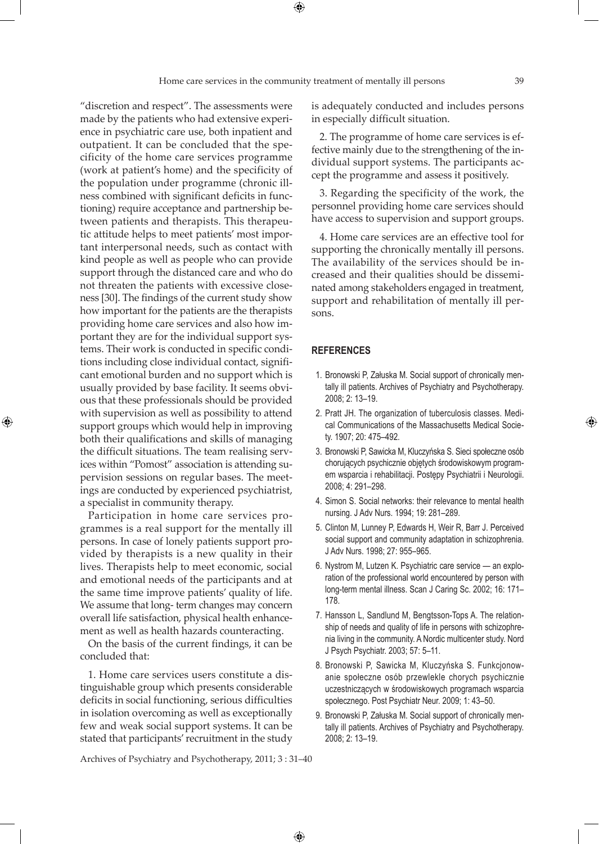"discretion and respect". The assessments were made by the patients who had extensive experience in psychiatric care use, both inpatient and outpatient. It can be concluded that the specificity of the home care services programme (work at patient's home) and the specificity of the population under programme (chronic illness combined with significant deficits in functioning) require acceptance and partnership between patients and therapists. This therapeutic attitude helps to meet patients' most important interpersonal needs, such as contact with kind people as well as people who can provide support through the distanced care and who do not threaten the patients with excessive closeness [30]. The findings of the current study show how important for the patients are the therapists providing home care services and also how important they are for the individual support systems. Their work is conducted in specific conditions including close individual contact, significant emotional burden and no support which is usually provided by base facility. It seems obvious that these professionals should be provided with supervision as well as possibility to attend support groups which would help in improving both their qualifications and skills of managing

the difficult situations. The team realising services within "Pomost" association is attending supervision sessions on regular bases. The meetings are conducted by experienced psychiatrist, a specialist in community therapy.

⊕

Participation in home care services programmes is a real support for the mentally ill persons. In case of lonely patients support provided by therapists is a new quality in their lives. Therapists help to meet economic, social and emotional needs of the participants and at the same time improve patients' quality of life. We assume that long- term changes may concern overall life satisfaction, physical health enhancement as well as health hazards counteracting.

On the basis of the current findings, it can be concluded that:

1. Home care services users constitute a distinguishable group which presents considerable deficits in social functioning, serious difficulties in isolation overcoming as well as exceptionally few and weak social support systems. It can be stated that participants' recruitment in the study

is adequately conducted and includes persons in especially difficult situation.

2. The programme of home care services is effective mainly due to the strengthening of the individual support systems. The participants accept the programme and assess it positively.

3. Regarding the specificity of the work, the personnel providing home care services should have access to supervision and support groups.

4. Home care services are an effective tool for supporting the chronically mentally ill persons. The availability of the services should be increased and their qualities should be disseminated among stakeholders engaged in treatment, support and rehabilitation of mentally ill persons.

## **REFERENCES**

- 1. Bronowski P, Załuska M. Social support of chronically mentally ill patients. Archives of Psychiatry and Psychotherapy. 2008; 2: 13–19.
- 2. Pratt JH. The organization of tuberculosis classes. Medical Communications of the Massachusetts Medical Society. 1907; 20: 475–492.
- 3. Bronowski P, Sawicka M, Kluczyńska S. Sieci społeczne osób chorujących psychicznie objętych środowiskowym programem wsparcia i rehabilitacji. Postępy Psychiatrii i Neurologii. 2008; 4: 291–298.
- 4. Simon S. Social networks: their relevance to mental health nursing. J Adv Nurs. 1994; 19: 281–289.
- 5. Clinton M, Lunney P, Edwards H, Weir R, Barr J. Perceived social support and community adaptation in schizophrenia. J Adv Nurs. 1998; 27: 955–965.
- 6. Nystrom M, Lutzen K. Psychiatric care service an exploration of the professional world encountered by person with long-term mental illness. Scan J Caring Sc. 2002; 16: 171– 178.
- 7. Hansson L, Sandlund M, Bengtsson-Tops A. The relationship of needs and quality of life in persons with schizophrenia living in the community. A Nordic multicenter study. Nord J Psych Psychiatr. 2003; 57: 5–11.
- 8. Bronowski P, Sawicka M, Kluczyńska S. Funkcjonowanie społeczne osób przewlekle chorych psychicznie uczestniczących w środowiskowych programach wsparcia społecznego. Post Psychiatr Neur. 2009; 1: 43–50.
- 9. Bronowski P, Załuska M. Social support of chronically mentally ill patients. Archives of Psychiatry and Psychotherapy. 2008; 2: 13–19.

Archives of Psychiatry and Psychotherapy, 2011; 3 : 31–40

 $\bigoplus$